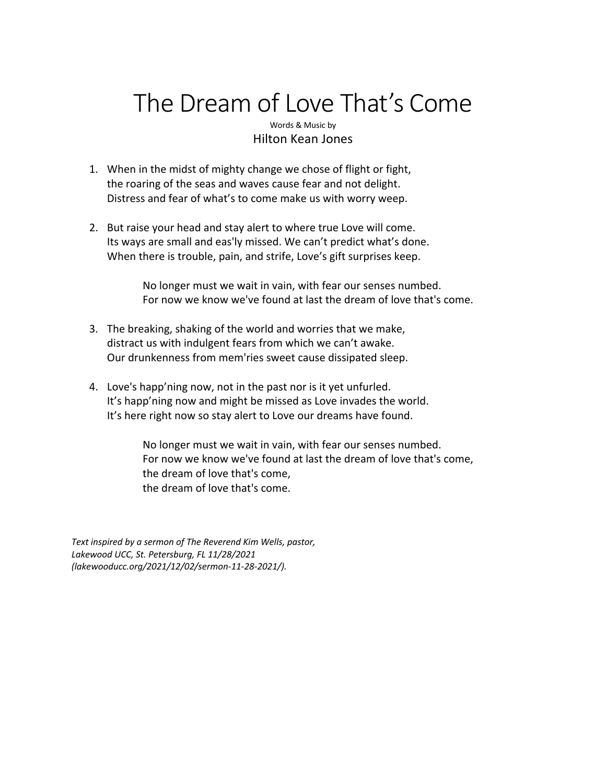## The Dream of Love That's Come

Words & Music by Hilton Kean Jones

- 1. When in the midst of mighty change we chose of flight or fight, the roaring of the seas and waves cause fear and not delight. Distress and fear of what's to come make us with worry weep.
- 2. But raise your head and stay alert to where true Love will come. Its ways are small and eas'ly missed. We can't predict what's done. When there is trouble, pain, and strife, Love's gift surprises keep.

No longer must we wait in vain, with fear our senses numbed. For now we know we've found at last the dream of love that's come.

- 3. The breaking, shaking of the world and worries that we make, distract us with indulgent fears from which we can't awake. Our drunkenness from mem'ries sweet cause dissipated sleep.
- 4. Love's happ'ning now, not in the past nor is it yet unfurled. It's happ'ning now and might be missed as Love invades the world. It's here right now so stay alert to Love our dreams have found.

No longer must we wait in vain, with fear our senses numbed. For now we know we've found at last the dream of love that's come, the dream of love that's come, the dream of love that's come.

*Text inspired by a sermon of The Reverend Kim Wells, pastor, Lakewood UCC, St. Petersburg, FL 11/28/2021 (lakewooducc.org/2021/12/02/sermon-11-28-2021/).*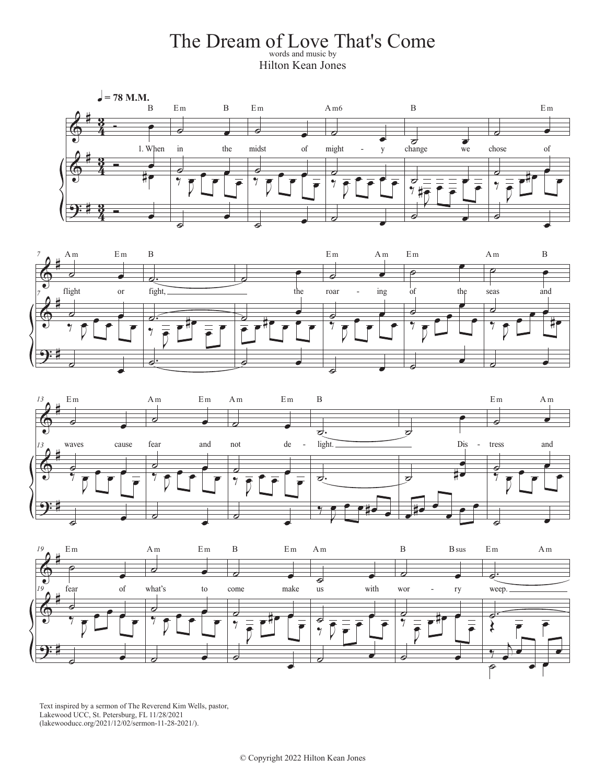## The Dream of Love That's Come

Hilton Kean Jones









Text inspired by a sermon of The Reverend Kim Wells, pastor, Lakewood UCC, St. Petersburg, FL 11/28/2021 (lakewooducc.org/2021/12/02/sermon-11-28-2021/).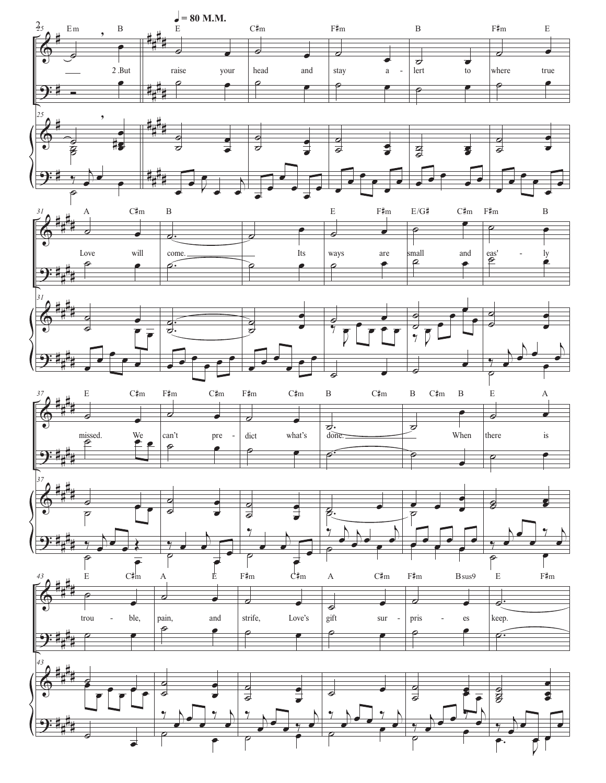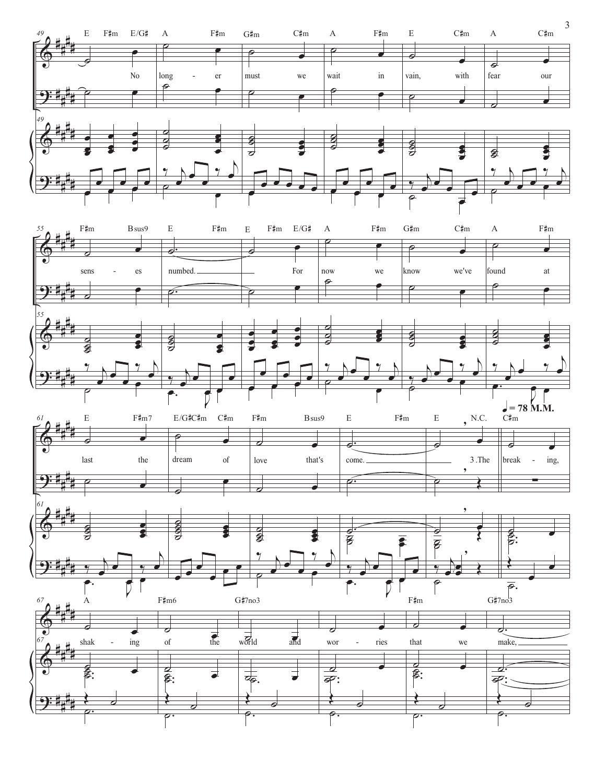![](_page_3_Figure_0.jpeg)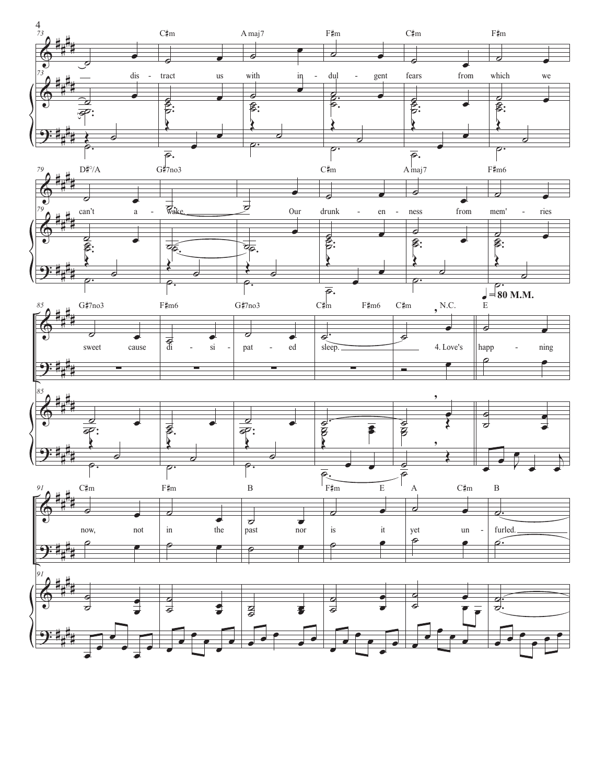![](_page_4_Figure_0.jpeg)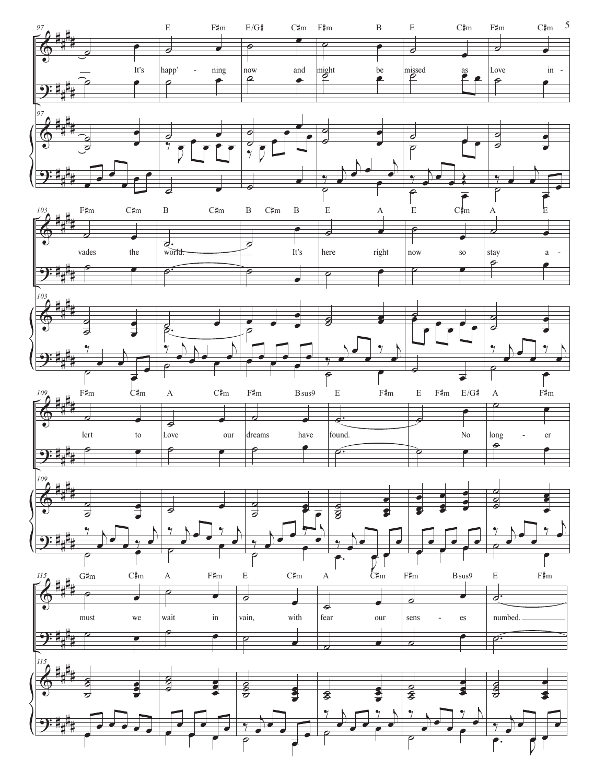![](_page_5_Figure_0.jpeg)